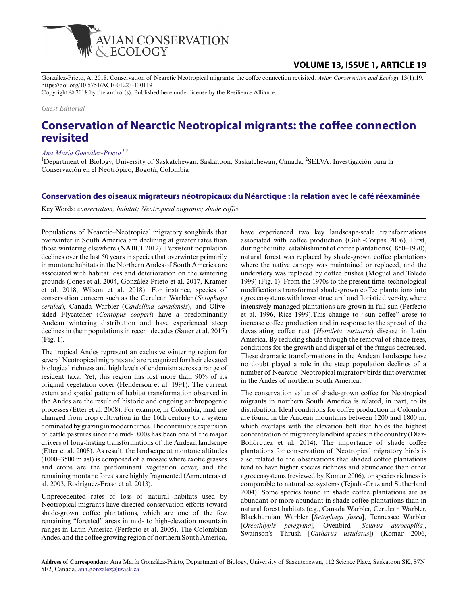

## **VOLUME 13, ISSUE 1, ARTICLE 19**

González-Prieto, A. 2018. Conservation of Nearctic Neotropical migrants: the coffee connection revisited. *Avian Conservation and Ecology* 13(1):19. https://doi.org/10.5751/ACE-01223-130119

Copyright © 2018 by the author(s). Published here under license by the Resilience Alliance.

*Guest Editorial*

# **Conservation of Nearctic Neotropical migrants: the coffee connection revisited**

*[Ana María González-Prieto](mailto:ana.gonzalez@usask.ca) 1,2*

<sup>1</sup>Department of Biology, University of Saskatchewan, Saskatoon, Saskatchewan, Canada, <sup>2</sup>SELVA: Investigación para la Conservación en el Neotrópico, Bogotá, Colombia

### **Conservation des oiseaux migrateurs néotropicaux du Néarctique : la relation avec le café réexaminée**

Key Words: *conservation; habitat; Neotropical migrants; shade coffee*

Populations of Nearctic–Neotropical migratory songbirds that overwinter in South America are declining at greater rates than those wintering elsewhere (NABCI 2012). Persistent population declines over the last 50 years in species that overwinter primarily in montane habitats in the Northern Andes of South America are associated with habitat loss and deterioration on the wintering grounds (Jones et al. 2004, González-Prieto et al. 2017, Kramer et al. 2018, Wilson et al. 2018). For instance, species of conservation concern such as the Cerulean Warbler (*Setophaga cerulea*), Canada Warbler (*Cardellina canadensis*), and Olivesided Flycatcher (*Contopus cooperi*) have a predominantly Andean wintering distribution and have experienced steep declines in their populations in recent decades (Sauer et al. 2017) (Fig. 1).

The tropical Andes represent an exclusive wintering region for several Neotropical migrants and are recognized for their elevated biological richness and high levels of endemism across a range of resident taxa. Yet, this region has lost more than 90% of its original vegetation cover (Henderson et al. 1991). The current extent and spatial pattern of habitat transformation observed in the Andes are the result of historic and ongoing anthropogenic processes (Etter et al. 2008). For example, in Colombia, land use changed from crop cultivation in the 16th century to a system dominated by grazing in modern times. The continuous expansion of cattle pastures since the mid-1800s has been one of the major drivers of long-lasting transformations of the Andean landscape (Etter et al. 2008). As result, the landscape at montane altitudes (1000–3500 m asl) is composed of a mosaic where exotic grasses and crops are the predominant vegetation cover, and the remaining montane forests are highly fragmented (Armenteras et al. 2003, Rodríguez-Eraso et al. 2013).

Unprecedented rates of loss of natural habitats used by Neotropical migrants have directed conservation efforts toward shade-grown coffee plantations, which are one of the few remaining "forested" areas in mid- to high-elevation mountain ranges in Latin America (Perfecto et al. 2005). The Colombian Andes, and the coffee growing region of northern South America, have experienced two key landscape-scale transformations associated with coffee production (Guhl-Corpas 2006). First, during the initial establishment of coffee plantations (1850–1970), natural forest was replaced by shade-grown coffee plantations where the native canopy was maintained or replaced, and the understory was replaced by coffee bushes (Moguel and Toledo 1999) (Fig. 1). From the 1970s to the present time, technological modifications transformed shade-grown coffee plantations into agroecosystems with lower structural and floristic diversity, where intensively managed plantations are grown in full sun (Perfecto et al. 1996, Rice 1999).This change to "sun coffee" arose to increase coffee production and in response to the spread of the devastating coffee rust (*Hemileia vastatrix*) disease in Latin America. By reducing shade through the removal of shade trees, conditions for the growth and dispersal of the fungus decreased. These dramatic transformations in the Andean landscape have no doubt played a role in the steep population declines of a number of Nearctic–Neotropical migratory birds that overwinter in the Andes of northern South America.

The conservation value of shade-grown coffee for Neotropical migrants in northern South America is related, in part, to its distribution. Ideal conditions for coffee production in Colombia are found in the Andean mountains between 1200 and 1800 m, which overlaps with the elevation belt that holds the highest concentration of migratory landbird species in the country (Díaz-Bohórquez et al. 2014). The importance of shade coffee plantations for conservation of Neotropical migratory birds is also related to the observations that shaded coffee plantations tend to have higher species richness and abundance than other agroecosystems (reviewed by Komar 2006), or species richness is comparable to natural ecosystems (Tejada-Cruz and Sutherland 2004). Some species found in shade coffee plantations are as abundant or more abundant in shade coffee plantations than in natural forest habitats (e.g., Canada Warbler, Cerulean Warbler, Blackburnian Warbler [*Setophaga fusca*], Tennessee Warbler [*Oreothlypis peregrina*], Ovenbird [*Seiurus aurocapilla*], Swainson's Thrush [*Catharus ustulatus*]) (Komar 2006,

**Address of Correspondent:** Ana María González-Prieto, Department of Biology, University of Saskatchewan, 112 Science Place, Saskatoon SK, S7N 5E2, Canada, [ana.gonzalez@usask.ca](mailto:ana.gonzalez@usask.ca)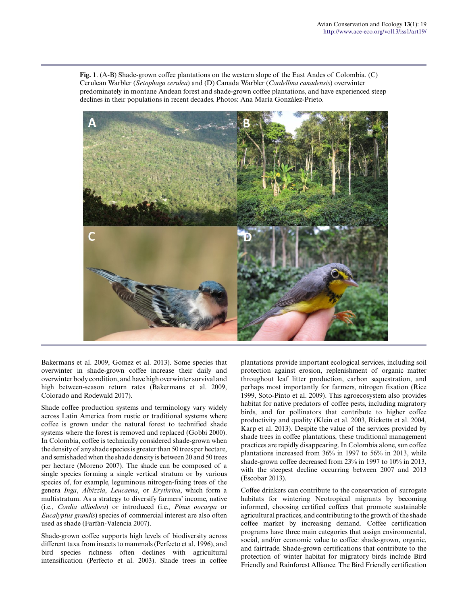**Fig. 1**. (A-B) Shade-grown coffee plantations on the western slope of the East Andes of Colombia. (C) Cerulean Warbler (*Setophaga cerulea*) and (D) Canada Warbler (*Cardellina canadensis*) overwinter predominately in montane Andean forest and shade-grown coffee plantations, and have experienced steep declines in their populations in recent decades. Photos: Ana María González-Prieto.



Bakermans et al. 2009, Gomez et al. 2013). Some species that overwinter in shade-grown coffee increase their daily and overwinter body condition, and have high overwinter survival and high between-season return rates (Bakermans et al. 2009, Colorado and Rodewald 2017).

Shade coffee production systems and terminology vary widely across Latin America from rustic or traditional systems where coffee is grown under the natural forest to technified shade systems where the forest is removed and replaced (Gobbi 2000). In Colombia, coffee is technically considered shade-grown when the density of any shade species is greater than 50 trees per hectare, and semishaded when the shade density is between 20 and 50 trees per hectare (Moreno 2007). The shade can be composed of a single species forming a single vertical stratum or by various species of, for example, leguminous nitrogen-fixing trees of the genera *Inga*, *Albizzia*, *Leucaena*, or *Erythrina*, which form a multistratum. As a strategy to diversify farmers' income, native (i.e., *Cordia alliodora*) or introduced (i.e., *Pinus oocarpa* or *Eucalyptus grandis*) species of commercial interest are also often used as shade (Farfán-Valencia 2007).

Shade-grown coffee supports high levels of biodiversity across different taxa from insects to mammals (Perfecto et al. 1996), and bird species richness often declines with agricultural intensification (Perfecto et al. 2003). Shade trees in coffee plantations provide important ecological services, including soil protection against erosion, replenishment of organic matter throughout leaf litter production, carbon sequestration, and perhaps most importantly for farmers, nitrogen fixation (Rice 1999, Soto-Pinto et al. 2009). This agroecosystem also provides habitat for native predators of coffee pests, including migratory birds, and for pollinators that contribute to higher coffee productivity and quality (Klein et al. 2003, Ricketts et al. 2004, Karp et al. 2013). Despite the value of the services provided by shade trees in coffee plantations, these traditional management practices are rapidly disappearing. In Colombia alone, sun coffee plantations increased from 36% in 1997 to 56% in 2013, while shade-grown coffee decreased from 23% in 1997 to 10% in 2013, with the steepest decline occurring between 2007 and 2013 (Escobar 2013).

Coffee drinkers can contribute to the conservation of surrogate habitats for wintering Neotropical migrants by becoming informed, choosing certified coffees that promote sustainable agricultural practices, and contributing to the growth of the shade coffee market by increasing demand. Coffee certification programs have three main categories that assign environmental, social, and/or economic value to coffee: shade-grown, organic, and fairtrade. Shade-grown certifications that contribute to the protection of winter habitat for migratory birds include Bird Friendly and Rainforest Alliance. The Bird Friendly certification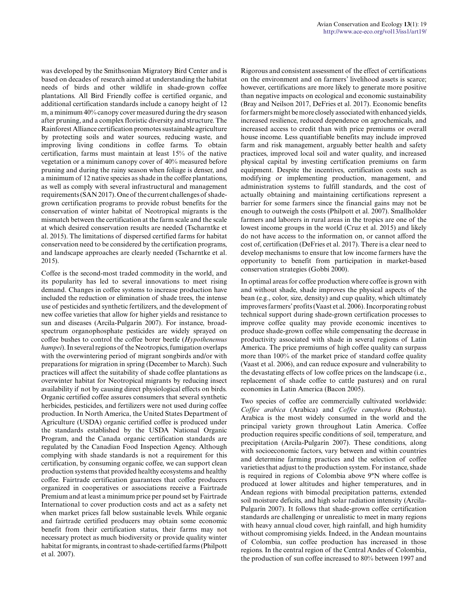was developed by the Smithsonian Migratory Bird Center and is based on decades of research aimed at understanding the habitat needs of birds and other wildlife in shade-grown coffee plantations. All Bird Friendly coffee is certified organic, and additional certification standards include a canopy height of 12 m, a minimum 40% canopy cover measured during the dry season after pruning, and a complex floristic diversity and structure. The Rainforest Alliance certification promotes sustainable agriculture by protecting soils and water sources, reducing waste, and improving living conditions in coffee farms. To obtain certification, farms must maintain at least 15% of the native vegetation or a minimum canopy cover of 40% measured before pruning and during the rainy season when foliage is denser, and a minimum of 12 native species as shade in the coffee plantations, as well as comply with several infrastructural and management requirements (SAN 2017). One of the current challenges of shadegrown certification programs to provide robust benefits for the conservation of winter habitat of Neotropical migrants is the mismatch between the certification at the farm scale and the scale at which desired conservation results are needed (Tscharntke et al. 2015). The limitations of dispersed certified farms for habitat conservation need to be considered by the certification programs, and landscape approaches are clearly needed (Tscharntke et al. 2015).

Coffee is the second-most traded commodity in the world, and its popularity has led to several innovations to meet rising demand. Changes in coffee systems to increase production have included the reduction or elimination of shade trees, the intense use of pesticides and synthetic fertilizers, and the development of new coffee varieties that allow for higher yields and resistance to sun and diseases (Arcila-Pulgarín 2007). For instance, broadspectrum organophosphate pesticides are widely sprayed on coffee bushes to control the coffee borer beetle (*Hypothenemus hampei*). In several regions of the Neotropics, fumigation overlaps with the overwintering period of migrant songbirds and/or with preparations for migration in spring (December to March). Such practices will affect the suitability of shade coffee plantations as overwinter habitat for Neotropical migrants by reducing insect availability if not by causing direct physiological effects on birds. Organic certified coffee assures consumers that several synthetic herbicides, pesticides, and fertilizers were not used during coffee production. In North America, the United States Department of Agriculture (USDA) organic certified coffee is produced under the standards established by the USDA National Organic Program, and the Canada organic certification standards are regulated by the Canadian Food Inspection Agency. Although complying with shade standards is not a requirement for this certification, by consuming organic coffee, we can support clean production systems that provided healthy ecosystems and healthy coffee. Fairtrade certification guarantees that coffee producers organized in cooperatives or associations receive a Fairtrade Premium and at least a minimum price per pound set by Fairtrade International to cover production costs and act as a safety net when market prices fall below sustainable levels. While organic and fairtrade certified producers may obtain some economic benefit from their certification status, their farms may not necessary protect as much biodiversity or provide quality winter habitat for migrants, in contrast to shade-certified farms (Philpott et al. 2007).

Rigorous and consistent assessment of the effect of certifications on the environment and on farmers' livelihood assets is scarce; however, certifications are more likely to generate more positive than negative impacts on ecological and economic sustainability (Bray and Neilson 2017, DeFries et al. 2017). Economic benefits for farmers might be more closely associated with enhanced yields, increased resilience, reduced dependence on agrochemicals, and increased access to credit than with price premiums or overall house income. Less quantifiable benefits may include improved farm and risk management, arguably better health and safety practices, improved local soil and water quality, and increased physical capital by investing certification premiums on farm equipment. Despite the incentives, certification costs such as modifying or implementing production, management, and administration systems to fulfill standards, and the cost of actually obtaining and maintaining certifications represent a barrier for some farmers since the financial gains may not be enough to outweigh the costs (Philpott et al. 2007). Smallholder farmers and laborers in rural areas in the tropics are one of the lowest income groups in the world (Cruz et al. 2015) and likely do not have access to the information on, or cannot afford the cost of, certification (DeFries et al. 2017). There is a clear need to develop mechanisms to ensure that low income farmers have the opportunity to benefit from participation in market-based conservation strategies (Gobbi 2000).

In optimal areas for coffee production where coffee is grown with and without shade, shade improves the physical aspects of the bean (e.g., color, size, density) and cup quality, which ultimately improves farmers' profits (Vaast et al. 2006). Incorporating robust technical support during shade-grown certification processes to improve coffee quality may provide economic incentives to produce shade-grown coffee while compensating the decrease in productivity associated with shade in several regions of Latin America. The price premiums of high coffee quality can surpass more than 100% of the market price of standard coffee quality (Vaast et al. 2006), and can reduce exposure and vulnerability to the devastating effects of low coffee prices on the landscape (i.e., replacement of shade coffee to cattle pastures) and on rural economies in Latin America (Bacon 2005).

Two species of coffee are commercially cultivated worldwide: *Coffee arabica* (Arabica) and *Coffee canephora* (Robusta). Arabica is the most widely consumed in the world and the principal variety grown throughout Latin America. Coffee production requires specific conditions of soil, temperature, and precipitation (Arcila-Pulgarín 2007). These conditions, along with socioeconomic factors, vary between and within countries and determine farming practices and the selection of coffee varieties that adjust to the production system. For instance, shade is required in regions of Colombia above 9°N where coffee is produced at lower altitudes and higher temperatures, and in Andean regions with bimodal precipitation patterns, extended soil moisture deficits, and high solar radiation intensity (Arcila-Pulgarín 2007). It follows that shade-grown coffee certification standards are challenging or unrealistic to meet in many regions with heavy annual cloud cover, high rainfall, and high humidity without compromising yields. Indeed, in the Andean mountains of Colombia, sun coffee production has increased in those regions. In the central region of the Central Andes of Colombia, the production of sun coffee increased to 80% between 1997 and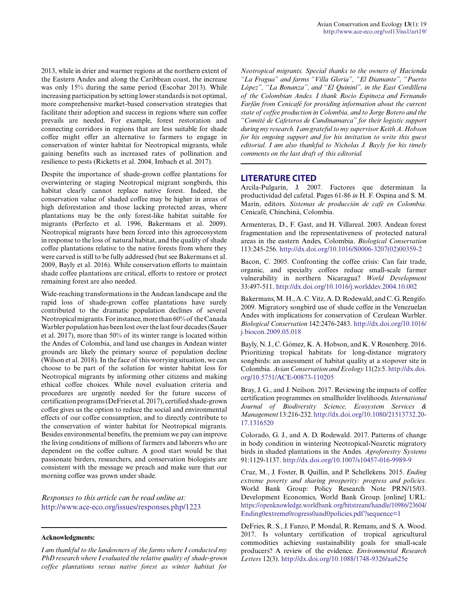2013, while in drier and warmer regions at the northern extent of the Eastern Andes and along the Caribbean coast, the increase was only 15% during the same period (Escobar 2013). While increasing participation by setting lower standards is not optimal, more comprehensive market-based conservation strategies that facilitate their adoption and success in regions where sun coffee prevails are needed. For example, forest restoration and connecting corridors in regions that are less suitable for shade coffee might offer an alternative to farmers to engage in conservation of winter habitat for Neotropical migrants, while gaining benefits such as increased rates of pollination and resilience to pests (Ricketts et al. 2004, Imbach et al. 2017).

Despite the importance of shade-grown coffee plantations for overwintering or staging Neotropical migrant songbirds, this habitat clearly cannot replace native forest. Indeed, the conservation value of shaded coffee may be higher in areas of high deforestation and those lacking protected areas, where plantations may be the only forest-like habitat suitable for migrants (Perfecto et al. 1996, Bakermans et al. 2009). Neotropical migrants have been forced into this agroecosystem in response to the loss of natural habitat, and the quality of shade coffee plantations relative to the native forests from where they were carved is still to be fully addressed (but see Bakermans et al. 2009, Bayly et al. 2016). While conservation efforts to maintain shade coffee plantations are critical, efforts to restore or protect remaining forest are also needed.

Wide-reaching transformations in the Andean landscape and the rapid loss of shade-grown coffee plantations have surely contributed to the dramatic population declines of several Neotropical migrants. For instance, more than 60% of the Canada Warbler population has been lost over the last four decades (Sauer et al. 2017), more than 50% of its winter range is located within the Andes of Colombia, and land use changes in Andean winter grounds are likely the primary source of population decline (Wilson et al. 2018). In the face of this worrying situation, we can choose to be part of the solution for winter habitat loss for Neotropical migrants by informing other citizens and making ethical coffee choices. While novel evaluation criteria and procedures are urgently needed for the future success of certification programs (DeFries et al. 2017), certified shade-grown coffee gives us the option to reduce the social and environmental effects of our coffee consumption, and to directly contribute to the conservation of winter habitat for Neotropical migrants. Besides environmental benefits, the premium we pay can improve the living conditions of millions of farmers and laborers who are dependent on the coffee culture. A good start would be that passionate birders, researchers, and conservation biologists are consistent with the message we preach and make sure that our morning coffee was grown under shade.

*Responses to this article can be read online at:* <http://www.ace-eco.org/issues/responses.php/1223>

#### **Acknowledgments:**

*I am thankful to the landowners of the farms where I conducted my PhD research where I evaluated the relative quality of shade-grown coffee plantations versus native forest as winter habitat for*

*Neotropical migrants. Special thanks to the owners of Hacienda "La Fragua" and farms "Villa Gloria", "El Diamante", "Puerto López", "La Bonanza", and "El Quininí", in the East Cordillera of the Colombian Andes. I thank Rocío Espinoza and Fernando Farfán from Cenicafé for providing information about the current state of coffee production in Colombia, and to Jorge Botero and the "Comité de Cafeteros de Cundinamarca" for their logistic support during my research. I am grateful to my supervisor Keith A. Hobson for his ongoing support and for his invitation to write this guest editorial. I am also thankful to Nicholas J. Bayly for his timely comments on the last draft of this editorial.*

#### **LITERATURE CITED**

Arcila-Pulgarín, J. 2007. Factores que determinan la productividad del cafetal. Pages 61-86 *in* H. F. Ospina and S. M. Marín, editors. *Sistemas de producción de café en Colombia*. Cenicafé, Chinchiná, Colombia.

Armenteras, D., F. Gast, and H. Villareal. 2003. Andean forest fragmentation and the representativeness of protected natural areas in the eastern Andes, Colombia. *Biological Conservation* 113:245-256. [http://dx.doi.org/10.1016/S0006-3207\(02\)00359-2](http://dx.doi.org/10.1016%2FS0006-3207%2802%2900359-2) 

Bacon, C. 2005. Confronting the coffee crisis: Can fair trade, organic, and specialty coffees reduce small-scale farmer vulnerability in northern Nicaragua? *World Development* 33:497-511.<http://dx.doi.org/10.1016/j.worlddev.2004.10.002>

Bakermans, M. H., A. C. Vitz, A. D. Rodewald, and C. G. Rengifo. 2009. Migratory songbird use of shade coffee in the Venezuelan Andes with implications for conservation of Cerulean Warbler. *Biological Conservation* 142:2476-2483. [http://dx.doi.org/10.1016/](http://dx.doi.org/10.1016%2Fj.biocon.2009.05.018) [j.biocon.2009.05.018](http://dx.doi.org/10.1016%2Fj.biocon.2009.05.018) 

Bayly, N. J., C. Gómez, K. A. Hobson, and K. V Rosenberg. 2016. Prioritizing tropical habitats for long-distance migratory songbirds: an assessment of habitat quality at a stopover site in Colombia. *Avian Conservation and Ecology* 11(2):5. [http://dx.doi.](http://dx.doi.org/10.5751%2FACE-00873-110205) [org/10.5751/ACE-00873-110205](http://dx.doi.org/10.5751%2FACE-00873-110205) 

Bray, J. G., and J. Neilson. 2017. Reviewing the impacts of coffee certification programmes on smallholder livelihoods. *International Journal of Biodiversity Science, Ecosystem Services & Management* 13:216-232. [http://dx.doi.org/10.1080/21513732.20](http://dx.doi.org/10.1080%2F21513732.2017.1316520) [17.1316520](http://dx.doi.org/10.1080%2F21513732.2017.1316520) 

Colorado, G. J., and A. D. Rodewald. 2017. Patterns of change in body condition in wintering Neotropical-Nearctic migratory birds in shaded plantations in the Andes. *Agroforestry Systems* 91:1129-1137. [http://dx.doi.org/10.1007/s10457-016-9989-9](http://dx.doi.org/10.1007%2Fs10457-016-9989-9)

Cruz, M., J. Foster, B. Quillin, and P. Schellekens. 2015. *Ending extreme poverty and sharing prosperity: progress and policies*. World Bank Group: Policy Research Note PRN/15/03. Development Economics, World Bank Group. [online] URL: [https://openknowledge.worldbank.org/bitstream/handle/10986/23604/](https://openknowledge.worldbank.org/bitstream/handle/10986/23604/Ending0extreme0rogress0and0policies.pdf?sequence=1) [Ending0extreme0rogress0and0policies.pdf?sequence=1](https://openknowledge.worldbank.org/bitstream/handle/10986/23604/Ending0extreme0rogress0and0policies.pdf?sequence=1)

DeFries, R. S., J. Fanzo, P. Mondal, R. Remans, and S. A. Wood. 2017. Is voluntary certification of tropical agricultural commodities achieving sustainability goals for small-scale producers? A review of the evidence. *Environmental Research Letters* 12(3). [http://dx.doi.org/10.1088/1748-9326/aa625e](http://dx.doi.org/10.1088%2F1748-9326%2Faa625e)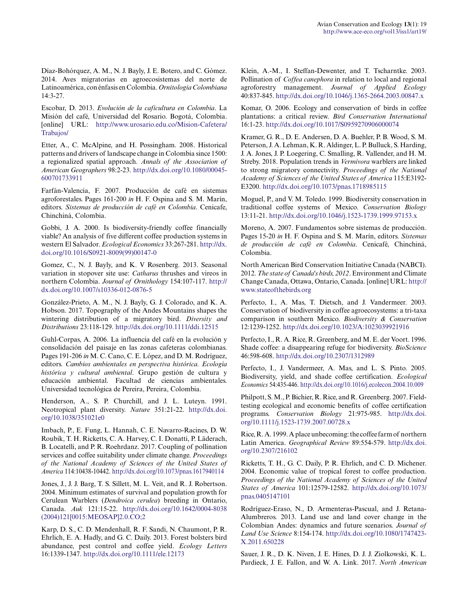Díaz-Bohórquez, A. M., N. J. Bayly, J. E. Botero, and C. Gómez. 2014. Aves migratorias en agroecosistemas del norte de Latinoamérica, con énfasis en Colombia. *Ornitologia Colombiana* 14:3-27.

Escobar, D. 2013. *Evolución de la caficultura en Colombia*. La Misión del café, Universidad del Rosario. Bogotá, Colombia. [online] URL: [http://www.urosario.edu.co/Mision-Cafetera/](http://www.urosario.edu.co/Mision-Cafetera/Trabajos/) [Trabajos/](http://www.urosario.edu.co/Mision-Cafetera/Trabajos/) 

Etter, A., C. McAlpine, and H. Possingham. 2008. Historical patterns and drivers of landscape change in Colombia since 1500: a regionalized spatial approach. *Annals of the Association of American Geographers* 98:2-23. [http://dx.doi.org/10.1080/00045](http://dx.doi.org/10.1080%2F00045600701733911) [600701733911](http://dx.doi.org/10.1080%2F00045600701733911)

Farfán-Valencia, F. 2007. Producción de café en sistemas agroforestales. Pages 161-200 *in* H. F. Ospina and S. M. Marín, editors. *Sistemas de producción de café en Colombia*. Cenicafe, Chinchiná, Colombia.

Gobbi, J. A. 2000. Is biodiversity-friendly coffee financially viable? An analysis of five different coffee production systems in western El Salvador. *Ecological Economics* 33:267-281. [http://dx.](http://dx.doi.org/10.1016%2FS0921-8009%2899%2900147-0) [doi.org/10.1016/S0921-8009\(99\)00147-0](http://dx.doi.org/10.1016%2FS0921-8009%2899%2900147-0) 

Gomez, C., N. J. Bayly, and K. V Rosenberg. 2013. Seasonal variation in stopover site use: *Catharus* thrushes and vireos in northern Colombia. *Journal of Ornithology* 154:107-117. [http://](http://dx.doi.org/10.1007%2Fs10336-012-0876-5) [dx.doi.org/10.1007/s10336-012-0876-5](http://dx.doi.org/10.1007%2Fs10336-012-0876-5) 

González-Prieto, A. M., N. J. Bayly, G. J. Colorado, and K. A. Hobson. 2017. Topography of the Andes Mountains shapes the wintering distribution of a migratory bird. *Diversity and Distributions* 23:118-129. [http://dx.doi.org/10.1111/ddi.12515](http://dx.doi.org/10.1111%2Fddi.12515) 

Guhl-Corpas, A. 2006. La influencia del café en la evolución y consolidación del paisaje en las zonas cafeteras colombianas. Pages 191-206 *in* M. C. Cano, C. E. López, and D. M. Rodríguez, editors. *Cambios ambientales en perspectiva histórica. Ecología histórica y cultural ambiental*. Grupo gestión de cultura y educación ambiental. Facultad de ciencias ambientales. Universidad tecnológica de Pereira, Pereira, Colombia.

Henderson, A., S. P. Churchill, and J. L. Luteyn. 1991. Neotropical plant diversity. *Nature* 351:21-22. [http://dx.doi.](http://dx.doi.org/10.1038%2F351021e0) [org/10.1038/351021e0](http://dx.doi.org/10.1038%2F351021e0) 

Imbach, P., E. Fung, L. Hannah, C. E. Navarro-Racines, D. W. Roubik, T. H. Ricketts, C. A. Harvey, C. I. Donatti, P. Läderach, B. Locatelli, and P. R. Roehrdanz. 2017. Coupling of pollination services and coffee suitability under climate change. *Proceedings of the National Academy of Sciences of the United States of America* 114:10438-10442. [http://dx.doi.org/10.1073/pnas.1617940114](http://dx.doi.org/10.1073%2Fpnas.1617940114) 

Jones, J., J. J. Barg, T. S. Sillett, M. L. Veit, and R. J. Robertson. 2004. Minimum estimates of survival and population growth for Cerulean Warblers (*Dendroica cerulea*) breeding in Ontario, Canada. *Auk* 121:15-22. [http://dx.doi.org/10.1642/0004-8038](http://dx.doi.org/10.1642%2F0004-8038%282004%29121%5B0015%3AMEOSAP%5D2.0.CO%3B2) [\(2004\)121\[0015:MEOSAP\]2.0.CO;2](http://dx.doi.org/10.1642%2F0004-8038%282004%29121%5B0015%3AMEOSAP%5D2.0.CO%3B2)

Karp, D. S., C. D. Mendenhall, R. F. Sandi, N. Chaumont, P. R. Ehrlich, E. A. Hadly, and G. C. Daily. 2013. Forest bolsters bird abundance, pest control and coffee yield. *Ecology Letters* 16:1339-1347. [http://dx.doi.org/10.1111/ele.12173](http://dx.doi.org/10.1111%2Fele.12173)

Klein, A.-M., I. Steffan-Dewenter, and T. Tscharntke. 2003. Pollination of *Coffea canephora* in relation to local and regional agroforestry management. *Journal of Applied Ecology* 40:837-845. [http://dx.doi.org/10.1046/j.1365-2664.2003.00847.x](http://dx.doi.org/10.1046%2Fj.1365-2664.2003.00847.x)

Komar, O. 2006. Ecology and conservation of birds in coffee plantations: a critical review. *Bird Conservation International* 16:1-23. [http://dx.doi.org/10.1017/S0959270906000074](http://dx.doi.org/10.1017%2FS0959270906000074) 

Kramer, G. R., D. E. Andersen, D. A. Buehler, P. B. Wood, S. M. Peterson, J. A. Lehman, K. R. Aldinger, L. P. Bulluck, S. Harding, J. A. Jones, J. P. Loegering, C. Smalling, R. Vallender, and H. M. Streby. 2018. Population trends in *Vermivora* warblers are linked to strong migratory connectivity. *Proceedings of the National Academy of Sciences of the United States of America* 115:E3192- E3200. [http://dx.doi.org/10.1073/pnas.1718985115](http://dx.doi.org/10.1073%2Fpnas.1718985115) 

Moguel, P., and V. M. Toledo. 1999. Biodiversity conservation in traditional coffee systems of Mexico. *Conservation Biology* 13:11-21. [http://dx.doi.org/10.1046/j.1523-1739.1999.97153.x](http://dx.doi.org/10.1046%2Fj.1523-1739.1999.97153.x) 

Moreno, A. 2007. Fundamentos sobre sistemas de producción. Pages 15-20 *in* H. F. Ospina and S. M. Marín, editors. *Sistemas de producción de café en Colombia*. Cenicafé, Chinchiná, Colombia.

North American Bird Conservation Initiative Canada (NABCI). 2012. *The state of Canada's birds, 2012*. Environment and Climate Change Canada, Ottawa, Ontario, Canada. [online] URL: [http://](http://www.stateofthebirds.org) [www.stateofthebirds.org](http://www.stateofthebirds.org)

Perfecto, I., A. Mas, T. Dietsch, and J. Vandermeer. 2003. Conservation of biodiversity in coffee agroecosystems: a tri-taxa comparison in southern Mexico. *Biodiversity & Conservation* 12:1239-1252. [http://dx.doi.org/10.1023/A:1023039921916](http://dx.doi.org/10.1023%2FA%3A1023039921916)

Perfecto, I., R. A. Rice, R. Greenberg, and M. E. der Voort. 1996. Shade coffee: a disappearing refuge for biodiversity. *BioScience* 46:598-608. [http://dx.doi.org/10.2307/1312989](http://dx.doi.org/10.2307%2F1312989) 

Perfecto, I., J. Vandermeer, A. Mas, and L. S. Pinto. 2005. Biodiversity, yield, and shade coffee certification. *Ecological Economics* 54:435-446. [http://dx.doi.org/10.1016/j.ecolecon.2004.10.009](http://dx.doi.org/10.1016%2Fj.ecolecon.2004.10.009)

Philpott, S. M., P. Bichier, R. Rice, and R. Greenberg. 2007. Fieldtesting ecological and economic benefits of coffee certification programs. *Conservation Biology* 21:975-985. [http://dx.doi.](http://dx.doi.org/10.1111%2Fj.1523-1739.2007.00728.x) [org/10.1111/j.1523-1739.2007.00728.x](http://dx.doi.org/10.1111%2Fj.1523-1739.2007.00728.x)

Rice, R. A. 1999. A place unbecoming: the coffee farm of northern Latin America. *Geographical Review* 89:554-579. [http://dx.doi.](http://dx.doi.org/10.2307%2F216102) [org/10.2307/216102](http://dx.doi.org/10.2307%2F216102)

Ricketts, T. H., G. C. Daily, P. R. Ehrlich, and C. D. Michener. 2004. Economic value of tropical forest to coffee production. *Proceedings of the National Academy of Sciences of the United States of America* 101:12579-12582. [http://dx.doi.org/10.1073/](http://dx.doi.org/10.1073%2Fpnas.0405147101) [pnas.0405147101](http://dx.doi.org/10.1073%2Fpnas.0405147101) 

Rodríguez-Eraso, N., D. Armenteras-Pascual, and J. Retana-Alumbreros. 2013. Land use and land cover change in the Colombian Andes: dynamics and future scenarios. *Journal of Land Use Science* 8:154-174. [http://dx.doi.org/10.1080/1747423](http://dx.doi.org/10.1080%2F1747423X.2011.650228) [X.2011.650228](http://dx.doi.org/10.1080%2F1747423X.2011.650228) 

Sauer, J. R., D. K. Niven, J. E. Hines, D. J. J. Ziolkowski, K. L. Pardieck, J. E. Fallon, and W. A. Link. 2017. *North American*